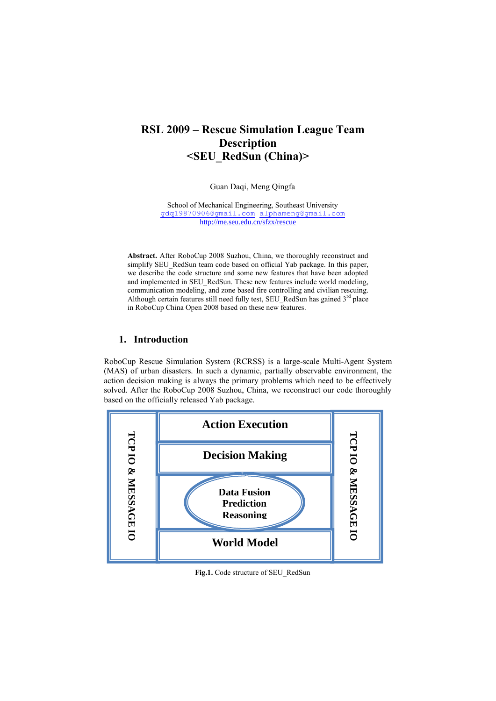# **RSL 2009 – Rescue Simulation League Team Description <SEU\_RedSun (China)>**

Guan Daqi, Meng Qingfa

School of Mechanical Engineering, Southeast University [gdq19870906@gmail.com](mailto:gdq19870906@gmail.com) [alphameng@gmail.com](mailto:alphameng@gmail.com) <http://me.seu.edu.cn/sfzx/rescue>

**Abstract.** After RoboCup 2008 Suzhou, China, we thoroughly reconstruct and simplify SEU\_RedSun team code based on official Yab package. In this paper, we describe the code structure and some new features that have been adopted and implemented in SEU\_RedSun. These new features include world modeling, communication modeling, and zone based fire controlling and civilian rescuing. Although certain features still need fully test, SEU\_RedSun has gained  $3<sup>rd</sup>$  place in RoboCup China Open 2008 based on these new features.

# **1. Introduction**

RoboCup Rescue Simulation System (RCRSS) is a large-scale Multi-Agent System (MAS) of urban disasters. In such a dynamic, partially observable environment, the action decision making is always the primary problems which need to be effectively solved. After the RoboCup 2008 Suzhou, China, we reconstruct our code thoroughly based on the officially released Yab package.



**Fig.1.** Code structure of SEU\_RedSun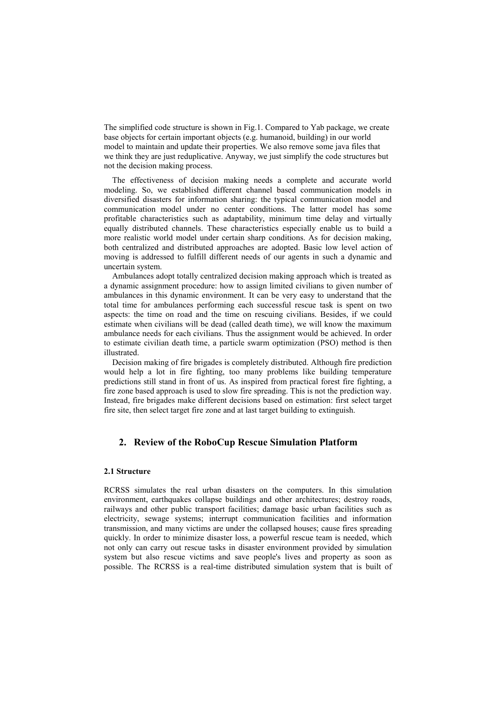The simplified code structure is shown in Fig.1. Compared to Yab package, we create base objects for certain important objects (e.g. humanoid, building) in our world model to maintain and update their properties. We also remove some java files that we think they are just reduplicative. Anyway, we just simplify the code structures but not the decision making process.

The effectiveness of decision making needs a complete and accurate world modeling. So, we established different channel based communication models in diversified disasters for information sharing: the typical communication model and communication model under no center conditions. The latter model has some profitable characteristics such as adaptability, minimum time delay and virtually equally distributed channels. These characteristics especially enable us to build a more realistic world model under certain sharp conditions. As for decision making, both centralized and distributed approaches are adopted. Basic low level action of moving is addressed to fulfill different needs of our agents in such a dynamic and uncertain system.

Ambulances adopt totally centralized decision making approach which is treated as a dynamic assignment procedure: how to assign limited civilians to given number of ambulances in this dynamic environment. It can be very easy to understand that the total time for ambulances performing each successful rescue task is spent on two aspects: the time on road and the time on rescuing civilians. Besides, if we could estimate when civilians will be dead (called death time), we will know the maximum ambulance needs for each civilians. Thus the assignment would be achieved. In order to estimate civilian death time, a particle swarm optimization (PSO) method is then illustrated.

Decision making of fire brigades is completely distributed. Although fire prediction would help a lot in fire fighting, too many problems like building temperature predictions still stand in front of us. As inspired from practical forest fire fighting, a fire zone based approach is used to slow fire spreading. This is not the prediction way. Instead, fire brigades make different decisions based on estimation: first select target fire site, then select target fire zone and at last target building to extinguish.

## **2. Review of the RoboCup Rescue Simulation Platform**

### **2.1 Structure**

RCRSS simulates the real urban disasters on the computers. In this simulation environment, earthquakes collapse buildings and other architectures; destroy roads, railways and other public transport facilities; damage basic urban facilities such as electricity, sewage systems; interrupt communication facilities and information transmission, and many victims are under the collapsed houses; cause fires spreading quickly. In order to minimize disaster loss, a powerful rescue team is needed, which not only can carry out rescue tasks in disaster environment provided by simulation system but also rescue victims and save people's lives and property as soon as possible. The RCRSS is a real-time distributed simulation system that is built of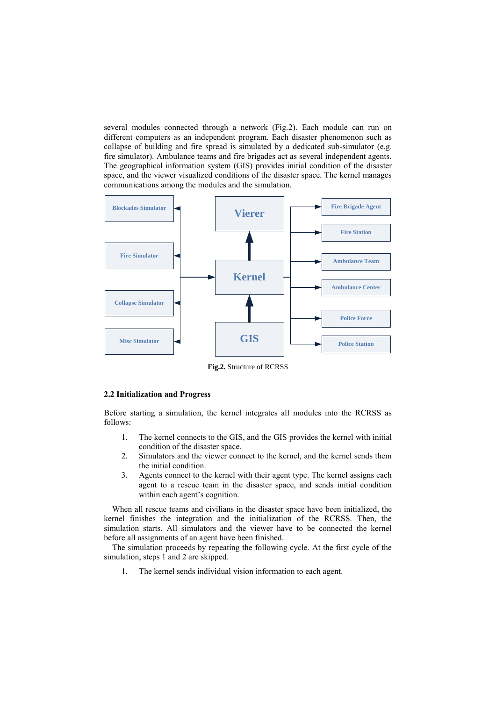several modules connected through a network (Fig.2). Each module can run on different computers as an independent program. Each disaster phenomenon such as collapse of building and fire spread is simulated by a dedicated sub-simulator (e.g. fire simulator). Ambulance teams and fire brigades act as several independent agents. The geographical information system (GIS) provides initial condition of the disaster space, and the viewer visualized conditions of the disaster space. The kernel manages communications among the modules and the simulation.



**Fig.2.** Structure of RCRSS

#### **2.2 Initialization and Progress**

Before starting a simulation, the kernel integrates all modules into the RCRSS as follows:

- 1. The kernel connects to the GIS, and the GIS provides the kernel with initial condition of the disaster space.
- 2. Simulators and the viewer connect to the kernel, and the kernel sends them the initial condition.
- 3. Agents connect to the kernel with their agent type. The kernel assigns each agent to a rescue team in the disaster space, and sends initial condition within each agent's cognition.

When all rescue teams and civilians in the disaster space have been initialized, the kernel finishes the integration and the initialization of the RCRSS. Then, the simulation starts. All simulators and the viewer have to be connected the kernel before all assignments of an agent have been finished.

The simulation proceeds by repeating the following cycle. At the first cycle of the simulation, steps 1 and 2 are skipped.

1. The kernel sends individual vision information to each agent.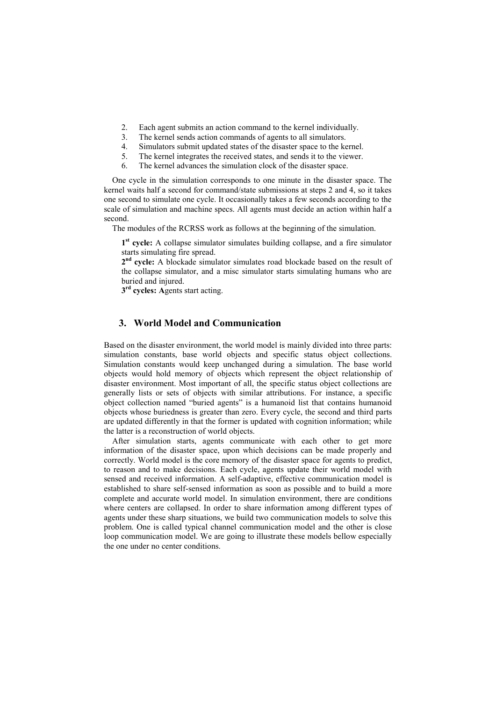- 2. Each agent submits an action command to the kernel individually.
- 3. The kernel sends action commands of agents to all simulators.
- 4. Simulators submit updated states of the disaster space to the kernel.
- 5. The kernel integrates the received states, and sends it to the viewer.
- 6. The kernel advances the simulation clock of the disaster space.

One cycle in the simulation corresponds to one minute in the disaster space. The kernel waits half a second for command/state submissions at steps 2 and 4, so it takes one second to simulate one cycle. It occasionally takes a few seconds according to the scale of simulation and machine specs. All agents must decide an action within half a second.

The modules of the RCRSS work as follows at the beginning of the simulation.

1<sup>st</sup> cycle: A collapse simulator simulates building collapse, and a fire simulator starts simulating fire spread.

2<sup>nd</sup> cycle: A blockade simulator simulates road blockade based on the result of the collapse simulator, and a misc simulator starts simulating humans who are buried and injured.

**3 rd cycles: A**gents start acting.

# **3. World Model and Communication**

Based on the disaster environment, the world model is mainly divided into three parts: simulation constants, base world objects and specific status object collections. Simulation constants would keep unchanged during a simulation. The base world objects would hold memory of objects which represent the object relationship of disaster environment. Most important of all, the specific status object collections are generally lists or sets of objects with similar attributions. For instance, a specific object collection named "buried agents" is a humanoid list that contains humanoid objects whose buriedness is greater than zero. Every cycle, the second and third parts are updated differently in that the former is updated with cognition information; while the latter is a reconstruction of world objects.

After simulation starts, agents communicate with each other to get more information of the disaster space, upon which decisions can be made properly and correctly. World model is the core memory of the disaster space for agents to predict, to reason and to make decisions. Each cycle, agents update their world model with sensed and received information. A self-adaptive, effective communication model is established to share self-sensed information as soon as possible and to build a more complete and accurate world model. In simulation environment, there are conditions where centers are collapsed. In order to share information among different types of agents under these sharp situations, we build two communication models to solve this problem. One is called typical channel communication model and the other is close loop communication model. We are going to illustrate these models bellow especially the one under no center conditions.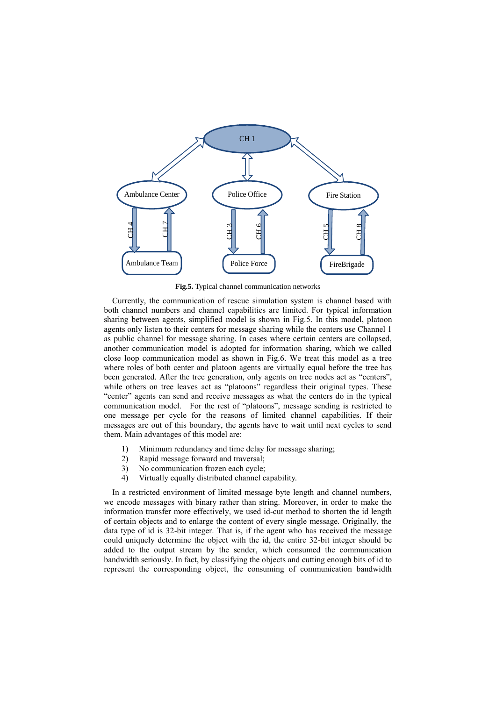

**Fig.5.** Typical channel communication networks

Currently, the communication of rescue simulation system is channel based with both channel numbers and channel capabilities are limited. For typical information sharing between agents, simplified model is shown in Fig.5. In this model, platoon agents only listen to their centers for message sharing while the centers use Channel 1 as public channel for message sharing. In cases where certain centers are collapsed, another communication model is adopted for information sharing, which we called close loop communication model as shown in Fig.6. We treat this model as a tree where roles of both center and platoon agents are virtually equal before the tree has been generated. After the tree generation, only agents on tree nodes act as "centers", while others on tree leaves act as "platoons" regardless their original types. These "center" agents can send and receive messages as what the centers do in the typical communication model. For the rest of "platoons", message sending is restricted to one message per cycle for the reasons of limited channel capabilities. If their messages are out of this boundary, the agents have to wait until next cycles to send them. Main advantages of this model are:

- 1) Minimum redundancy and time delay for message sharing;
- 2) Rapid message forward and traversal;
- 3) No communication frozen each cycle;
- 4) Virtually equally distributed channel capability.

In a restricted environment of limited message byte length and channel numbers, we encode messages with binary rather than string. Moreover, in order to make the information transfer more effectively, we used id-cut method to shorten the id length of certain objects and to enlarge the content of every single message. Originally, the data type of id is 32-bit integer. That is, if the agent who has received the message could uniquely determine the object with the id, the entire 32-bit integer should be added to the output stream by the sender, which consumed the communication bandwidth seriously. In fact, by classifying the objects and cutting enough bits of id to represent the corresponding object, the consuming of communication bandwidth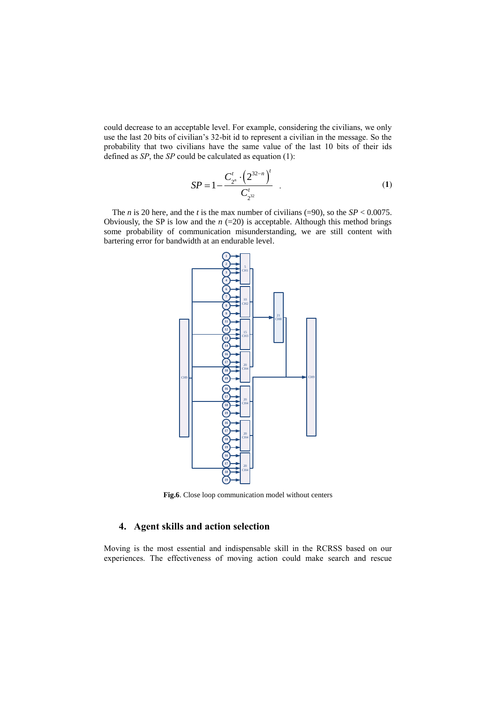could decrease to an acceptable level. For example, considering the civilians, we only use the last 20 bits of civilian"s 32-bit id to represent a civilian in the message. So the probability that two civilians have the same value of the last 10 bits of their ids defined as *SP*, the *SP* could be calculated as equation (1):

$$
SP = 1 - \frac{C_{2^n}^t \cdot \left(2^{32-n}\right)^t}{C_{2^{32}}^t} \tag{1}
$$

The *n* is 20 here, and the *t* is the max number of civilians (=90), so the *SP* < 0.0075. Obviously, the SP is low and the  $n (=20)$  is acceptable. Although this method brings some probability of communication misunderstanding, we are still content with bartering error for bandwidth at an endurable level.



**Fig.6**. Close loop communication model without centers

# **4. Agent skills and action selection**

Moving is the most essential and indispensable skill in the RCRSS based on our experiences. The effectiveness of moving action could make search and rescue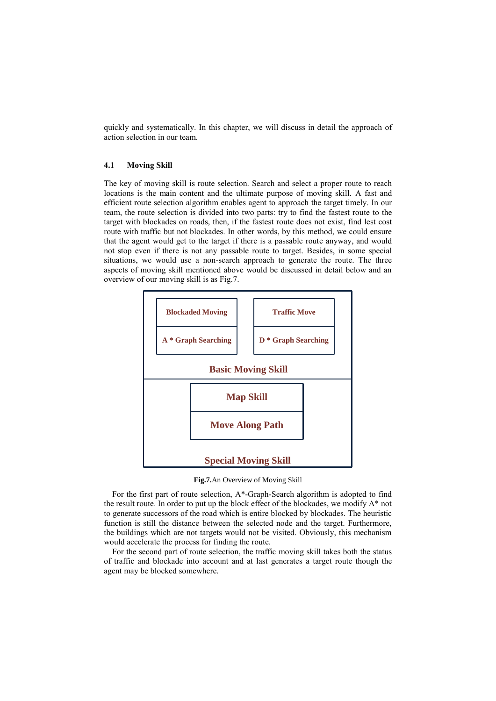quickly and systematically. In this chapter, we will discuss in detail the approach of action selection in our team.

### **4.1 Moving Skill**

The key of moving skill is route selection. Search and select a proper route to reach locations is the main content and the ultimate purpose of moving skill. A fast and efficient route selection algorithm enables agent to approach the target timely. In our team, the route selection is divided into two parts: try to find the fastest route to the target with blockades on roads, then, if the fastest route does not exist, find lest cost route with traffic but not blockades. In other words, by this method, we could ensure that the agent would get to the target if there is a passable route anyway, and would not stop even if there is not any passable route to target. Besides, in some special situations, we would use a non-search approach to generate the route. The three aspects of moving skill mentioned above would be discussed in detail below and an overview of our moving skill is as Fig.7.



**Fig.7.**An Overview of Moving Skill

For the first part of route selection, A\*-Graph-Search algorithm is adopted to find the result route. In order to put up the block effect of the blockades, we modify  $A^*$  not to generate successors of the road which is entire blocked by blockades. The heuristic function is still the distance between the selected node and the target. Furthermore, the buildings which are not targets would not be visited. Obviously, this mechanism would accelerate the process for finding the route.

For the second part of route selection, the traffic moving skill takes both the status of traffic and blockade into account and at last generates a target route though the agent may be blocked somewhere.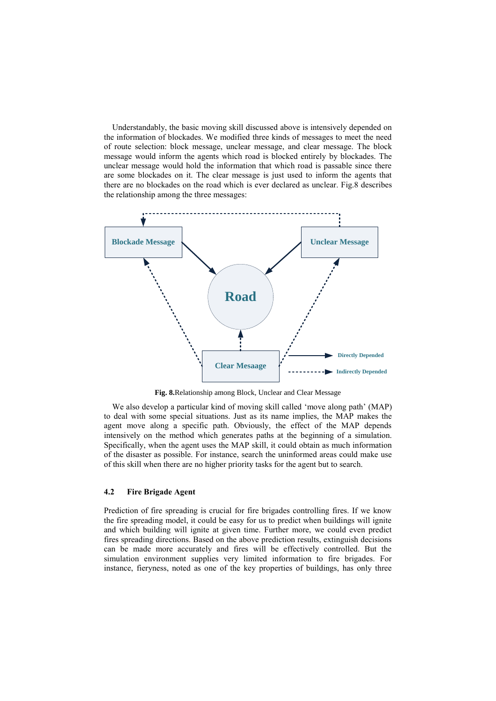Understandably, the basic moving skill discussed above is intensively depended on the information of blockades. We modified three kinds of messages to meet the need of route selection: block message, unclear message, and clear message. The block message would inform the agents which road is blocked entirely by blockades. The unclear message would hold the information that which road is passable since there are some blockades on it. The clear message is just used to inform the agents that there are no blockades on the road which is ever declared as unclear. Fig.8 describes the relationship among the three messages:



**Fig. 8.**Relationship among Block, Unclear and Clear Message

We also develop a particular kind of moving skill called 'move along path' (MAP) to deal with some special situations. Just as its name implies, the MAP makes the agent move along a specific path. Obviously, the effect of the MAP depends intensively on the method which generates paths at the beginning of a simulation. Specifically, when the agent uses the MAP skill, it could obtain as much information of the disaster as possible. For instance, search the uninformed areas could make use of this skill when there are no higher priority tasks for the agent but to search.

### **4.2 Fire Brigade Agent**

Prediction of fire spreading is crucial for fire brigades controlling fires. If we know the fire spreading model, it could be easy for us to predict when buildings will ignite and which building will ignite at given time. Further more, we could even predict fires spreading directions. Based on the above prediction results, extinguish decisions can be made more accurately and fires will be effectively controlled. But the simulation environment supplies very limited information to fire brigades. For instance, fieryness, noted as one of the key properties of buildings, has only three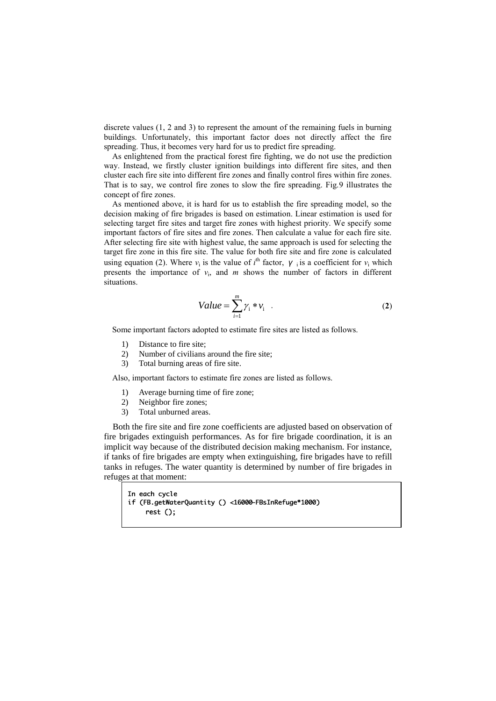discrete values (1, 2 and 3) to represent the amount of the remaining fuels in burning buildings. Unfortunately, this important factor does not directly affect the fire spreading. Thus, it becomes very hard for us to predict fire spreading.

As enlightened from the practical forest fire fighting, we do not use the prediction way. Instead, we firstly cluster ignition buildings into different fire sites, and then cluster each fire site into different fire zones and finally control fires within fire zones. That is to say, we control fire zones to slow the fire spreading. Fig.9 illustrates the concept of fire zones.

As mentioned above, it is hard for us to establish the fire spreading model, so the decision making of fire brigades is based on estimation. Linear estimation is used for selecting target fire sites and target fire zones with highest priority. We specify some important factors of fire sites and fire zones. Then calculate a value for each fire site. After selecting fire site with highest value, the same approach is used for selecting the target fire zone in this fire site. The value for both fire site and fire zone is calculated using equation (2). Where  $v_i$  is the value of  $i^{\text{th}}$  factor,  $\gamma_i$  is a coefficient for  $v_i$  which presents the importance of  $v_i$ , and  $m$  shows the number of factors in different situations.

$$
Value = \sum_{i=1}^{m} \gamma_i * \nu_i \quad . \tag{2}
$$

Some important factors adopted to estimate fire sites are listed as follows.

- 1) Distance to fire site;<br>2) Number of civilians
- Number of civilians around the fire site;
- 3) Total burning areas of fire site.

Also, important factors to estimate fire zones are listed as follows.

- 1) Average burning time of fire zone;
- 2) Neighbor fire zones;
- 3) Total unburned areas.

Both the fire site and fire zone coefficients are adjusted based on observation of fire brigades extinguish performances. As for fire brigade coordination, it is an implicit way because of the distributed decision making mechanism. For instance, if tanks of fire brigades are empty when extinguishing, fire brigades have to refill tanks in refuges. The water quantity is determined by number of fire brigades in refuges at that moment:

```
In each cycle
if (FB.getWaterQuantity () <16000-FBsInRefuge*1000)
    rest();
```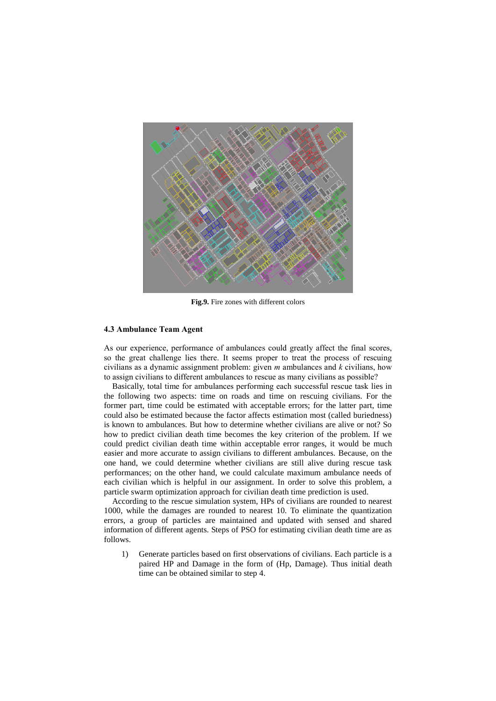

**Fig.9.** Fire zones with different colors

#### **4.3 Ambulance Team Agent**

As our experience, performance of ambulances could greatly affect the final scores, so the great challenge lies there. It seems proper to treat the process of rescuing civilians as a dynamic assignment problem: given *m* ambulances and *k* civilians, how to assign civilians to different ambulances to rescue as many civilians as possible?

Basically, total time for ambulances performing each successful rescue task lies in the following two aspects: time on roads and time on rescuing civilians. For the former part, time could be estimated with acceptable errors; for the latter part, time could also be estimated because the factor affects estimation most (called buriedness) is known to ambulances. But how to determine whether civilians are alive or not? So how to predict civilian death time becomes the key criterion of the problem. If we could predict civilian death time within acceptable error ranges, it would be much easier and more accurate to assign civilians to different ambulances. Because, on the one hand, we could determine whether civilians are still alive during rescue task performances; on the other hand, we could calculate maximum ambulance needs of each civilian which is helpful in our assignment. In order to solve this problem, a particle swarm optimization approach for civilian death time prediction is used.

According to the rescue simulation system, HPs of civilians are rounded to nearest 1000, while the damages are rounded to nearest 10. To eliminate the quantization errors, a group of particles are maintained and updated with sensed and shared information of different agents. Steps of PSO for estimating civilian death time are as follows.

1) Generate particles based on first observations of civilians. Each particle is a paired HP and Damage in the form of (Hp, Damage). Thus initial death time can be obtained similar to step 4.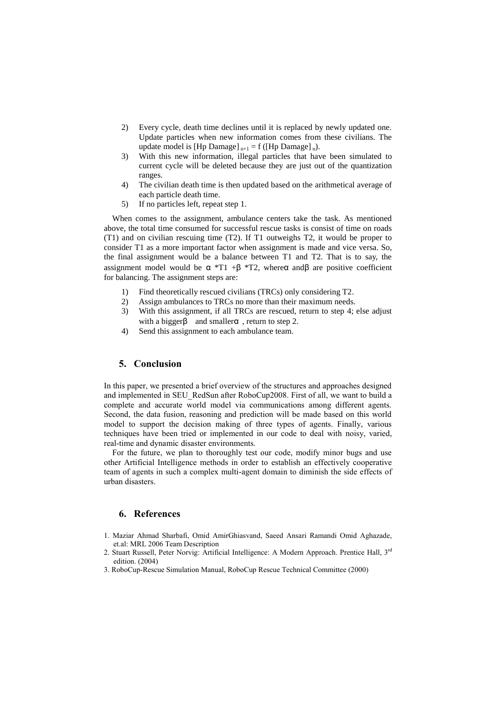- 2) Every cycle, death time declines until it is replaced by newly updated one. Update particles when new information comes from these civilians. The update model is [Hp Damage]  $_{n+1} = f$  ([Hp Damage]  $_n$ ).
- 3) With this new information, illegal particles that have been simulated to current cycle will be deleted because they are just out of the quantization ranges.
- 4) The civilian death time is then updated based on the arithmetical average of each particle death time.
- 5) If no particles left, repeat step 1.

When comes to the assignment, ambulance centers take the task. As mentioned above, the total time consumed for successful rescue tasks is consist of time on roads (T1) and on civilian rescuing time (T2). If T1 outweighs T2, it would be proper to consider T1 as a more important factor when assignment is made and vice versa. So, the final assignment would be a balance between T1 and T2. That is to say, the assignment model would be  $\alpha$  \*T1 + $\beta$  \*T2, where $\alpha$  and $\beta$  are positive coefficient for balancing. The assignment steps are:

- 1) Find theoretically rescued civilians (TRCs) only considering T2.
- 2) Assign ambulances to TRCs no more than their maximum needs.
- 3) With this assignment, if all TRCs are rescued, return to step 4; else adjust with a bigger $\beta$  and smaller $\alpha$ , return to step 2.
- 4) Send this assignment to each ambulance team.

## **5. Conclusion**

In this paper, we presented a brief overview of the structures and approaches designed and implemented in SEU\_RedSun after RoboCup2008. First of all, we want to build a complete and accurate world model via communications among different agents. Second, the data fusion, reasoning and prediction will be made based on this world model to support the decision making of three types of agents. Finally, various techniques have been tried or implemented in our code to deal with noisy, varied, real-time and dynamic disaster environments.

 For the future, we plan to thoroughly test our code, modify minor bugs and use other Artificial Intelligence methods in order to establish an effectively cooperative team of agents in such a complex multi-agent domain to diminish the side effects of urban disasters.

### **6. References**

- 1. Maziar Ahmad Sharbafi, Omid AmirGhiasvand, Saeed Ansari Ramandi Omid Aghazade, et.al: MRL 2006 Team Description
- 2. Stuart Russell, Peter Norvig: Artificial Intelligence: A Modern Approach. Prentice Hall, 3<sup>rd</sup> edition. (2004)
- 3. RoboCup-Rescue Simulation Manual, RoboCup Rescue Technical Committee (2000)